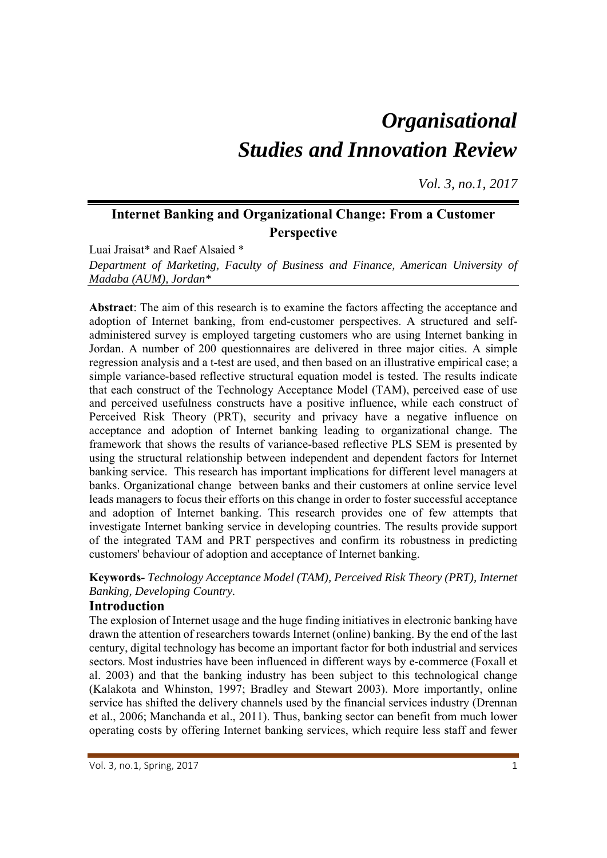# *Organisational Studies and Innovation Review*

*Vol. 3, no.1, 2017*

# **Internet Banking and Organizational Change: From a Customer Perspective**

Luai Jraisat\* and Raef Alsaied \*

*Department of Marketing, Faculty of Business and Finance, American University of Madaba (AUM), Jordan\** 

**Abstract**: The aim of this research is to examine the factors affecting the acceptance and adoption of Internet banking, from end-customer perspectives. A structured and selfadministered survey is employed targeting customers who are using Internet banking in Jordan. A number of 200 questionnaires are delivered in three major cities. A simple regression analysis and a t-test are used, and then based on an illustrative empirical case; a simple variance-based reflective structural equation model is tested. The results indicate that each construct of the Technology Acceptance Model (TAM), perceived ease of use and perceived usefulness constructs have a positive influence, while each construct of Perceived Risk Theory (PRT), security and privacy have a negative influence on acceptance and adoption of Internet banking leading to organizational change. The framework that shows the results of variance-based reflective PLS SEM is presented by using the structural relationship between independent and dependent factors for Internet banking service. This research has important implications for different level managers at banks. Organizational change between banks and their customers at online service level leads managers to focus their efforts on this change in order to foster successful acceptance and adoption of Internet banking. This research provides one of few attempts that investigate Internet banking service in developing countries. The results provide support of the integrated TAM and PRT perspectives and confirm its robustness in predicting customers' behaviour of adoption and acceptance of Internet banking.

**Keywords-** *Technology Acceptance Model (TAM), Perceived Risk Theory (PRT), Internet Banking, Developing Country.*

# **Introduction**

The explosion of Internet usage and the huge finding initiatives in electronic banking have drawn the attention of researchers towards Internet (online) banking. By the end of the last century, digital technology has become an important factor for both industrial and services sectors. Most industries have been influenced in different ways by e-commerce (Foxall et al. 2003) and that the banking industry has been subject to this technological change (Kalakota and Whinston, 1997; Bradley and Stewart 2003). More importantly, online service has shifted the delivery channels used by the financial services industry (Drennan et al., 2006; Manchanda et al., 2011). Thus, banking sector can benefit from much lower operating costs by offering Internet banking services, which require less staff and fewer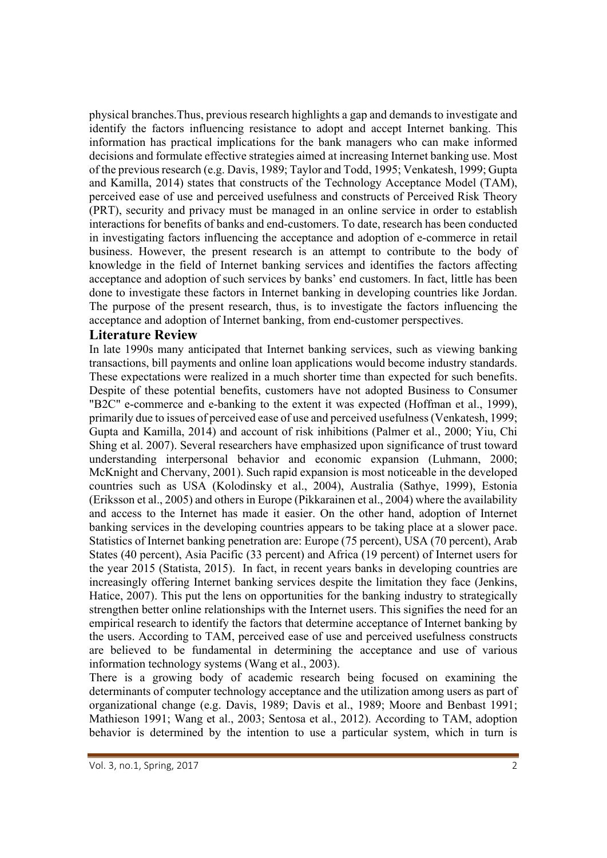physical branches.Thus, previous research highlights a gap and demands to investigate and identify the factors influencing resistance to adopt and accept Internet banking. This information has practical implications for the bank managers who can make informed decisions and formulate effective strategies aimed at increasing Internet banking use. Most of the previous research (e.g. Davis, 1989; Taylor and Todd, 1995; Venkatesh, 1999; Gupta and Kamilla, 2014) states that constructs of the Technology Acceptance Model (TAM), perceived ease of use and perceived usefulness and constructs of Perceived Risk Theory (PRT), security and privacy must be managed in an online service in order to establish interactions for benefits of banks and end-customers. To date, research has been conducted in investigating factors influencing the acceptance and adoption of e-commerce in retail business. However, the present research is an attempt to contribute to the body of knowledge in the field of Internet banking services and identifies the factors affecting acceptance and adoption of such services by banks' end customers. In fact, little has been done to investigate these factors in Internet banking in developing countries like Jordan. The purpose of the present research, thus, is to investigate the factors influencing the acceptance and adoption of Internet banking, from end-customer perspectives.

# **Literature Review**

In late 1990s many anticipated that Internet banking services, such as viewing banking transactions, bill payments and online loan applications would become industry standards. These expectations were realized in a much shorter time than expected for such benefits. Despite of these potential benefits, customers have not adopted Business to Consumer "B2C" e-commerce and e-banking to the extent it was expected (Hoffman et al., 1999), primarily due to issues of perceived ease of use and perceived usefulness (Venkatesh, 1999; Gupta and Kamilla, 2014) and account of risk inhibitions (Palmer et al., 2000; Yiu, Chi Shing et al. 2007). Several researchers have emphasized upon significance of trust toward understanding interpersonal behavior and economic expansion (Luhmann, 2000; McKnight and Chervany, 2001). Such rapid expansion is most noticeable in the developed countries such as USA (Kolodinsky et al., 2004), Australia (Sathye, 1999), Estonia (Eriksson et al., 2005) and others in Europe (Pikkarainen et al., 2004) where the availability and access to the Internet has made it easier. On the other hand, adoption of Internet banking services in the developing countries appears to be taking place at a slower pace. Statistics of Internet banking penetration are: Europe (75 percent), USA (70 percent), Arab States (40 percent), Asia Pacific (33 percent) and Africa (19 percent) of Internet users for the year 2015 (Statista, 2015). In fact, in recent years banks in developing countries are increasingly offering Internet banking services despite the limitation they face (Jenkins, Hatice, 2007). This put the lens on opportunities for the banking industry to strategically strengthen better online relationships with the Internet users. This signifies the need for an empirical research to identify the factors that determine acceptance of Internet banking by the users. According to TAM, perceived ease of use and perceived usefulness constructs are believed to be fundamental in determining the acceptance and use of various information technology systems (Wang et al., 2003).

There is a growing body of academic research being focused on examining the determinants of computer technology acceptance and the utilization among users as part of organizational change (e.g. Davis, 1989; Davis et al., 1989; Moore and Benbast 1991; Mathieson 1991; Wang et al., 2003; Sentosa et al., 2012). According to TAM, adoption behavior is determined by the intention to use a particular system, which in turn is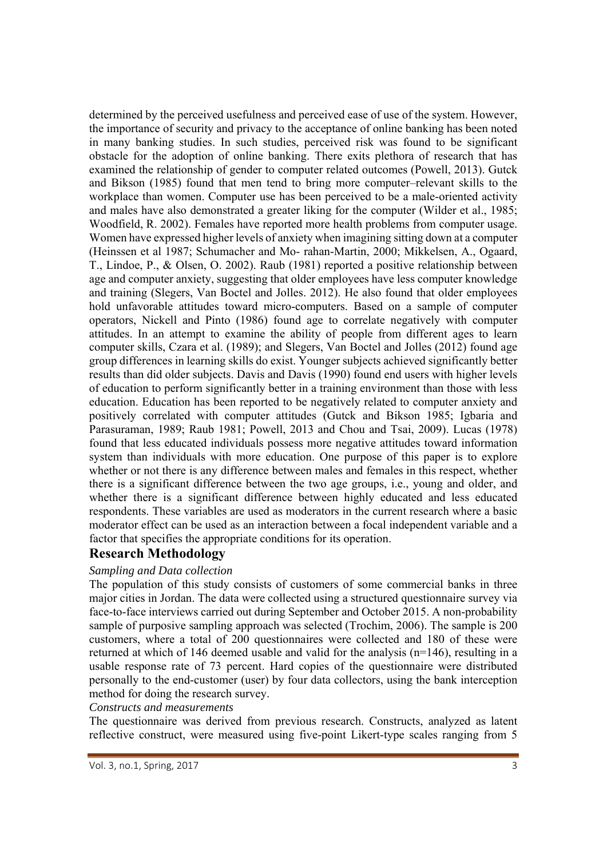determined by the perceived usefulness and perceived ease of use of the system. However, the importance of security and privacy to the acceptance of online banking has been noted in many banking studies. In such studies, perceived risk was found to be significant obstacle for the adoption of online banking. There exits plethora of research that has examined the relationship of gender to computer related outcomes (Powell, 2013). Gutck and Bikson (1985) found that men tend to bring more computer–relevant skills to the workplace than women. Computer use has been perceived to be a male-oriented activity and males have also demonstrated a greater liking for the computer (Wilder et al., 1985; Woodfield, R. 2002). Females have reported more health problems from computer usage. Women have expressed higher levels of anxiety when imagining sitting down at a computer (Heinssen et al 1987; Schumacher and Mo- rahan-Martin, 2000; Mikkelsen, A., Ogaard, T., Lindoe, P., & Olsen, O. 2002). Raub (1981) reported a positive relationship between age and computer anxiety, suggesting that older employees have less computer knowledge and training (Slegers, Van Boctel and Jolles. 2012). He also found that older employees hold unfavorable attitudes toward micro-computers. Based on a sample of computer operators, Nickell and Pinto (1986) found age to correlate negatively with computer attitudes. In an attempt to examine the ability of people from different ages to learn computer skills, Czara et al. (1989); and Slegers, Van Boctel and Jolles (2012) found age group differences in learning skills do exist. Younger subjects achieved significantly better results than did older subjects. Davis and Davis (1990) found end users with higher levels of education to perform significantly better in a training environment than those with less education. Education has been reported to be negatively related to computer anxiety and positively correlated with computer attitudes (Gutck and Bikson 1985; Igbaria and Parasuraman, 1989; Raub 1981; Powell, 2013 and Chou and Tsai, 2009). Lucas (1978) found that less educated individuals possess more negative attitudes toward information system than individuals with more education. One purpose of this paper is to explore whether or not there is any difference between males and females in this respect, whether there is a significant difference between the two age groups, i.e., young and older, and whether there is a significant difference between highly educated and less educated respondents. These variables are used as moderators in the current research where a basic moderator effect can be used as an interaction between a focal independent variable and a factor that specifies the appropriate conditions for its operation.

# **Research Methodology**

#### *Sampling and Data collection*

The population of this study consists of customers of some commercial banks in three major cities in Jordan. The data were collected using a structured questionnaire survey via face-to-face interviews carried out during September and October 2015. A non-probability sample of purposive sampling approach was selected (Trochim, 2006). The sample is 200 customers, where a total of 200 questionnaires were collected and 180 of these were returned at which of 146 deemed usable and valid for the analysis  $(n=146)$ , resulting in a usable response rate of 73 percent. Hard copies of the questionnaire were distributed personally to the end-customer (user) by four data collectors, using the bank interception method for doing the research survey.

#### *Constructs and measurements*

The questionnaire was derived from previous research. Constructs, analyzed as latent reflective construct, were measured using five-point Likert-type scales ranging from 5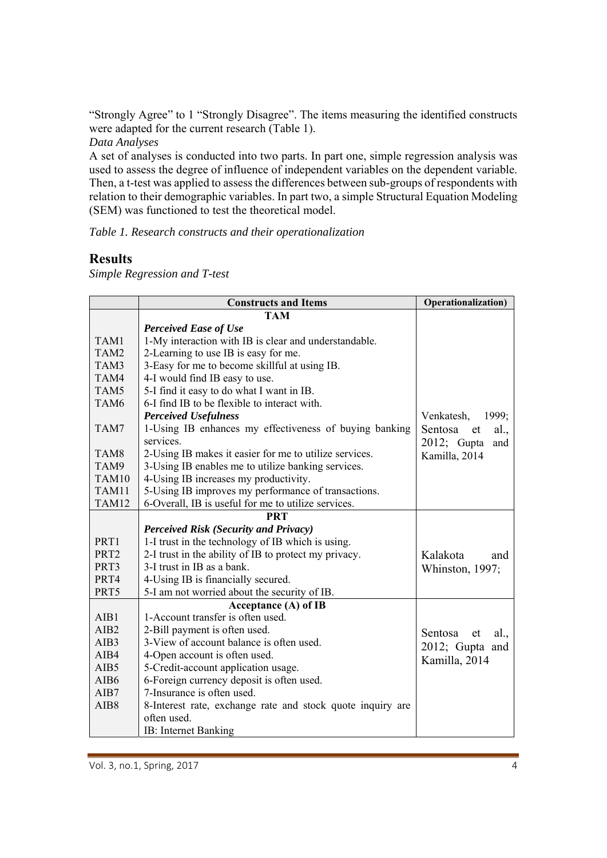"Strongly Agree" to 1 "Strongly Disagree". The items measuring the identified constructs were adapted for the current research (Table 1).

*Data Analyses* 

A set of analyses is conducted into two parts. In part one, simple regression analysis was used to assess the degree of influence of independent variables on the dependent variable. Then, a t-test was applied to assess the differences between sub-groups of respondents with relation to their demographic variables. In part two, a simple Structural Equation Modeling (SEM) was functioned to test the theoretical model.

*Table 1. Research constructs and their operationalization* 

# **Results**

*Simple Regression and T-test* 

|                  | <b>Constructs and Items</b>                                | Operationalization)   |
|------------------|------------------------------------------------------------|-----------------------|
|                  | <b>TAM</b>                                                 |                       |
|                  | <b>Perceived Ease of Use</b>                               |                       |
| TAM1             | 1-My interaction with IB is clear and understandable.      |                       |
| TAM2             | 2-Learning to use IB is easy for me.                       |                       |
| TAM3             | 3-Easy for me to become skillful at using IB.              |                       |
| TAM4             | 4-I would find IB easy to use.                             |                       |
| TAM5             | 5-I find it easy to do what I want in IB.                  |                       |
| TAM <sub>6</sub> | 6-I find IB to be flexible to interact with.               |                       |
|                  | <b>Perceived Usefulness</b>                                | Venkatesh,<br>1999;   |
| TAM7             | 1-Using IB enhances my effectiveness of buying banking     | Sentosa et<br>al.,    |
|                  | services.                                                  | $2012$ ; Gupta<br>and |
| TAM <sub>8</sub> | 2-Using IB makes it easier for me to utilize services.     | Kamilla, 2014         |
| TAM9             | 3-Using IB enables me to utilize banking services.         |                       |
| TAM10            | 4-Using IB increases my productivity.                      |                       |
| TAM11            | 5-Using IB improves my performance of transactions.        |                       |
| TAM12            | 6-Overall, IB is useful for me to utilize services.        |                       |
| <b>PRT</b>       |                                                            |                       |
|                  | <b>Perceived Risk (Security and Privacy)</b>               |                       |
| PRT1             | 1-I trust in the technology of IB which is using.          |                       |
| PRT <sub>2</sub> | 2-I trust in the ability of IB to protect my privacy.      | Kalakota<br>and       |
| PRT3             | 3-I trust in IB as a bank.                                 | Whinston, 1997;       |
| PRT4             | 4-Using IB is financially secured.                         |                       |
| PRT5             | 5-I am not worried about the security of IB.               |                       |
|                  | Acceptance (A) of IB                                       |                       |
| AIB1             | 1-Account transfer is often used.                          |                       |
| AIB <sub>2</sub> | 2-Bill payment is often used.                              | Sentosa<br>al.,<br>et |
| AIB3             | 3-View of account balance is often used.                   | 2012; Gupta and       |
| AIB4             | 4-Open account is often used.                              | Kamilla, 2014         |
| AIB5             | 5-Credit-account application usage.                        |                       |
| AIB6             | 6-Foreign currency deposit is often used.                  |                       |
| AIB7             | 7-Insurance is often used.                                 |                       |
| AIB8             | 8-Interest rate, exchange rate and stock quote inquiry are |                       |
|                  | often used.                                                |                       |
|                  | IB: Internet Banking                                       |                       |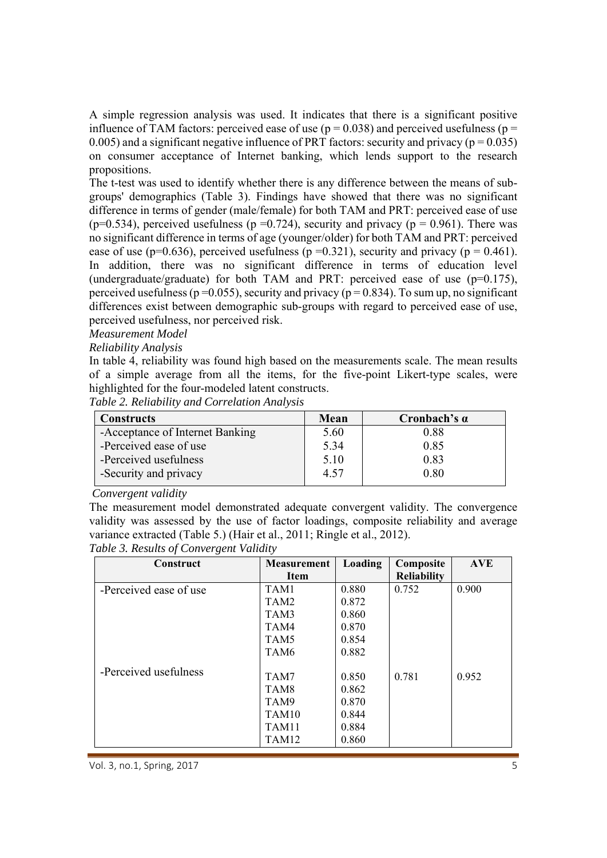A simple regression analysis was used. It indicates that there is a significant positive influence of TAM factors: perceived ease of use ( $p = 0.038$ ) and perceived usefulness ( $p =$ 0.005) and a significant negative influence of PRT factors: security and privacy ( $p = 0.035$ ) on consumer acceptance of Internet banking, which lends support to the research propositions.

The t-test was used to identify whether there is any difference between the means of subgroups' demographics (Table 3). Findings have showed that there was no significant difference in terms of gender (male/female) for both TAM and PRT: perceived ease of use (p=0.534), perceived usefulness (p =0.724), security and privacy (p = 0.961). There was no significant difference in terms of age (younger/older) for both TAM and PRT: perceived ease of use (p=0.636), perceived usefulness (p =0.321), security and privacy (p = 0.461). In addition, there was no significant difference in terms of education level (undergraduate/graduate) for both TAM and PRT: perceived ease of use  $(p=0.175)$ , perceived usefulness ( $p = 0.055$ ), security and privacy ( $p = 0.834$ ). To sum up, no significant differences exist between demographic sub-groups with regard to perceived ease of use, perceived usefulness, nor perceived risk.

#### *Measurement Model*

#### *Reliability Analysis*

In table 4, reliability was found high based on the measurements scale. The mean results of a simple average from all the items, for the five-point Likert-type scales, were highlighted for the four-modeled latent constructs.

*Table 2. Reliability and Correlation Analysis* 

| <b>Constructs</b>               | Mean | Cronbach's $\alpha$ |
|---------------------------------|------|---------------------|
| -Acceptance of Internet Banking | 5.60 | 0.88                |
| -Perceived ease of use          | 5.34 | 0.85                |
| -Perceived usefulness           | 5.10 | 0.83                |
| -Security and privacy           | 4.57 | 0.80                |

 *Convergent validity* 

The measurement model demonstrated adequate convergent validity. The convergence validity was assessed by the use of factor loadings, composite reliability and average variance extracted (Table 5.) (Hair et al., 2011; Ringle et al., 2012).

| Construct              | <b>Measurement</b><br><b>Item</b> | Loading | Composite<br><b>Reliability</b> | <b>AVE</b> |
|------------------------|-----------------------------------|---------|---------------------------------|------------|
| -Perceived ease of use | TAM1                              | 0.880   | 0.752                           | 0.900      |
|                        | TAM2                              | 0.872   |                                 |            |
|                        | TAM3                              | 0.860   |                                 |            |
|                        | TAM4                              | 0.870   |                                 |            |
|                        | TAM <sub>5</sub>                  | 0.854   |                                 |            |
|                        | TAM <sub>6</sub>                  | 0.882   |                                 |            |
| -Perceived usefulness  | TAM7                              | 0.850   | 0.781                           | 0.952      |
|                        | TAM8                              | 0.862   |                                 |            |
|                        | TAM9                              | 0.870   |                                 |            |
|                        | TAM <sub>10</sub>                 | 0.844   |                                 |            |
|                        | TAM11                             | 0.884   |                                 |            |
|                        | TAM <sub>12</sub>                 | 0.860   |                                 |            |

*Table 3. Results of Convergent Validity*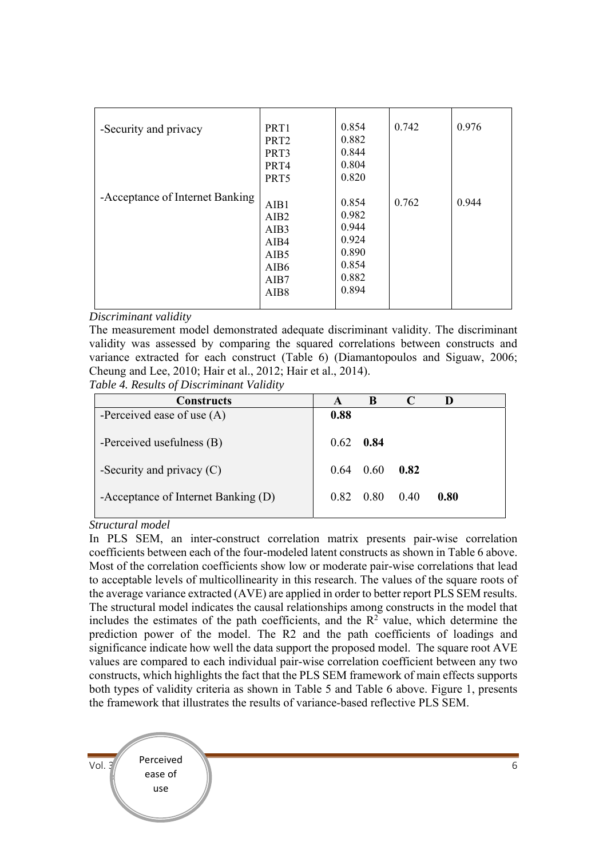| -Security and privacy           | PRT1<br>PRT <sub>2</sub><br>PRT3<br>PRT4 | 0.854<br>0.882<br>0.844<br>0.804 | 0.742 | 0.976 |
|---------------------------------|------------------------------------------|----------------------------------|-------|-------|
|                                 |                                          |                                  |       |       |
|                                 | PRT5                                     | 0.820                            |       |       |
|                                 |                                          |                                  |       |       |
| -Acceptance of Internet Banking | AIB1                                     | 0.854                            | 0.762 | 0.944 |
|                                 | AIB <sub>2</sub>                         | 0.982                            |       |       |
|                                 | AIB3                                     | 0.944                            |       |       |
|                                 | AIB4                                     | 0.924                            |       |       |
|                                 | AIB <sub>5</sub>                         | 0.890                            |       |       |
|                                 | AIB <sub>6</sub>                         | 0.854                            |       |       |
|                                 | AIB7                                     | 0.882                            |       |       |
|                                 | AIB8                                     | 0.894                            |       |       |
|                                 |                                          |                                  |       |       |

*Discriminant validity*

The measurement model demonstrated adequate discriminant validity. The discriminant validity was assessed by comparing the squared correlations between constructs and variance extracted for each construct (Table 6) (Diamantopoulos and Siguaw, 2006; Cheung and Lee, 2010; Hair et al., 2012; Hair et al., 2014).

*Table 4. Results of Discriminant Validity* 

| <b>Constructs</b>                   | A    | B    |      |      |  |
|-------------------------------------|------|------|------|------|--|
| -Perceived ease of use $(A)$        | 0.88 |      |      |      |  |
| -Perceived usefulness (B)           | 0.62 | 0.84 |      |      |  |
| -Security and privacy $(C)$         | 0.64 | 0.60 | 0.82 |      |  |
| -Acceptance of Internet Banking (D) | 0.82 | 0.80 | 0.40 | 0.80 |  |

*Structural model* 

In PLS SEM, an inter-construct correlation matrix presents pair-wise correlation coefficients between each of the four-modeled latent constructs as shown in Table 6 above. Most of the correlation coefficients show low or moderate pair-wise correlations that lead to acceptable levels of multicollinearity in this research. The values of the square roots of the average variance extracted (AVE) are applied in order to better report PLS SEM results. The structural model indicates the causal relationships among constructs in the model that includes the estimates of the path coefficients, and the  $\mathbb{R}^2$  value, which determine the prediction power of the model. The R2 and the path coefficients of loadings and significance indicate how well the data support the proposed model. The square root AVE values are compared to each individual pair-wise correlation coefficient between any two constructs, which highlights the fact that the PLS SEM framework of main effects supports both types of validity criteria as shown in Table 5 and Table 6 above. Figure 1, presents the framework that illustrates the results of variance-based reflective PLS SEM.

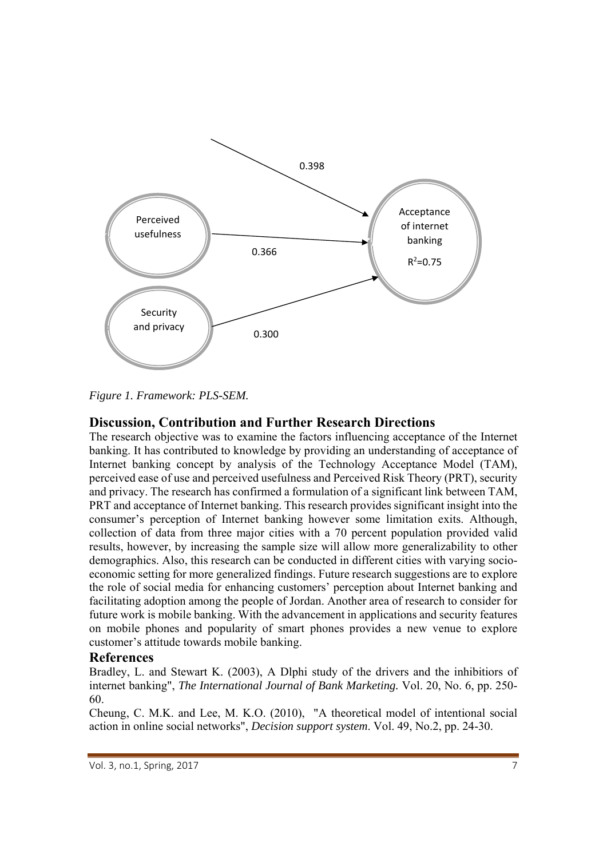

*Figure 1. Framework: PLS-SEM.* 

# **Discussion, Contribution and Further Research Directions**

The research objective was to examine the factors influencing acceptance of the Internet banking. It has contributed to knowledge by providing an understanding of acceptance of Internet banking concept by analysis of the Technology Acceptance Model (TAM), perceived ease of use and perceived usefulness and Perceived Risk Theory (PRT), security and privacy. The research has confirmed a formulation of a significant link between TAM, PRT and acceptance of Internet banking. This research provides significant insight into the consumer's perception of Internet banking however some limitation exits. Although, collection of data from three major cities with a 70 percent population provided valid results, however, by increasing the sample size will allow more generalizability to other demographics. Also, this research can be conducted in different cities with varying socioeconomic setting for more generalized findings. Future research suggestions are to explore the role of social media for enhancing customers' perception about Internet banking and facilitating adoption among the people of Jordan. Another area of research to consider for future work is mobile banking. With the advancement in applications and security features on mobile phones and popularity of smart phones provides a new venue to explore customer's attitude towards mobile banking.

# **References**

Bradley, L. and Stewart K. (2003), A Dlphi study of the drivers and the inhibitiors of internet banking", *The International Journal of Bank Marketing.* Vol. 20, No. 6, pp. 250- 60.

Cheung, C. M.K. and Lee, M. K.O. (2010), "A theoretical model of intentional social action in online social networks", *Decision support system*. Vol. 49, No.2, pp. 24-30.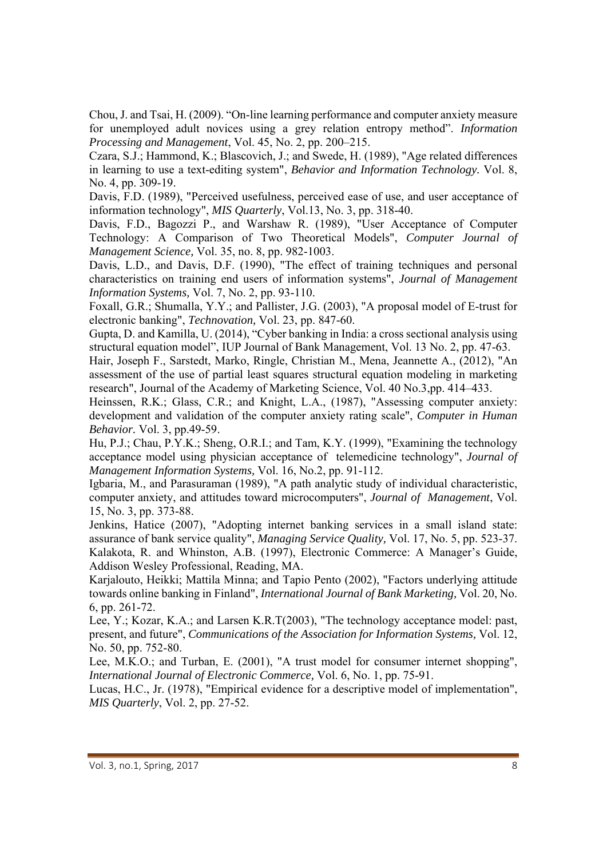Chou, J. and Tsai, H. (2009). "On-line learning performance and computer anxiety measure for unemployed adult novices using a grey relation entropy method". *Information Processing and Management*, Vol. 45, No. 2, pp. 200–215.

Czara, S.J.; Hammond, K.; Blascovich, J.; and Swede, H. (1989), "Age related differences in learning to use a text-editing system", *Behavior and Information Technology.* Vol. 8, No. 4, pp. 309-19.

Davis, F.D. (1989), "Perceived usefulness, perceived ease of use, and user acceptance of information technology", *MIS Quarterly*, Vol.13, No. 3, pp. 318-40.

Davis, F.D., Bagozzi P., and Warshaw R. (1989), "User Acceptance of Computer Technology: A Comparison of Two Theoretical Models", *Computer Journal of Management Science,* Vol. 35, no. 8, pp. 982-1003.

Davis, L.D., and Davis, D.F. (1990), "The effect of training techniques and personal characteristics on training end users of information systems", *Journal of Management Information Systems,* Vol. 7, No. 2, pp. 93-110.

Foxall, G.R.; Shumalla, Y.Y.; and Pallister, J.G. (2003), "A proposal model of E-trust for electronic banking", *Technovation,* Vol. 23, pp. 847-60.

Gupta, D. and Kamilla, U. (2014), "Cyber banking in India: a cross sectional analysis using structural equation model", IUP Journal of Bank Management, Vol. 13 No. 2, pp. 47-63.

Hair, Joseph F., Sarstedt, Marko, Ringle, Christian M., Mena, Jeannette A., (2012), "An assessment of the use of partial least squares structural equation modeling in marketing research", Journal of the Academy of Marketing Science, Vol. 40 No.3,pp. 414–433.

Heinssen, R.K.; Glass, C.R.; and Knight, L.A., (1987), "Assessing computer anxiety: development and validation of the computer anxiety rating scale", *Computer in Human Behavior.* Vol. 3, pp.49-59.

Hu, P.J.; Chau, P.Y.K.; Sheng, O.R.I.; and Tam, K.Y. (1999), "Examining the technology acceptance model using physician acceptance of telemedicine technology", *Journal of Management Information Systems,* Vol. 16, No.2, pp. 91-112.

Igbaria, M., and Parasuraman (1989), "A path analytic study of individual characteristic, computer anxiety, and attitudes toward microcomputers", *Journal of Management*, Vol. 15, No. 3, pp. 373-88.

Jenkins, Hatice (2007), "Adopting internet banking services in a small island state: assurance of bank service quality", *Managing Service Quality,* Vol. 17, No. 5, pp. 523-37. Kalakota, R. and Whinston, A.B. (1997), Electronic Commerce: A Manager's Guide, Addison Wesley Professional, Reading, MA.

Karjalouto, Heikki; Mattila Minna; and Tapio Pento (2002), "Factors underlying attitude towards online banking in Finland", *International Journal of Bank Marketing,* Vol. 20, No. 6, pp. 261-72.

Lee, Y.; Kozar, K.A.; and Larsen K.R.T(2003), "The technology acceptance model: past, present, and future", *Communications of the Association for Information Systems,* Vol. 12, No. 50, pp. 752-80.

Lee, M.K.O.; and Turban, E. (2001), "A trust model for consumer internet shopping", *International Journal of Electronic Commerce,* Vol. 6, No. 1, pp. 75-91.

Lucas, H.C., Jr. (1978), "Empirical evidence for a descriptive model of implementation", *MIS Quarterly*, Vol. 2, pp. 27-52.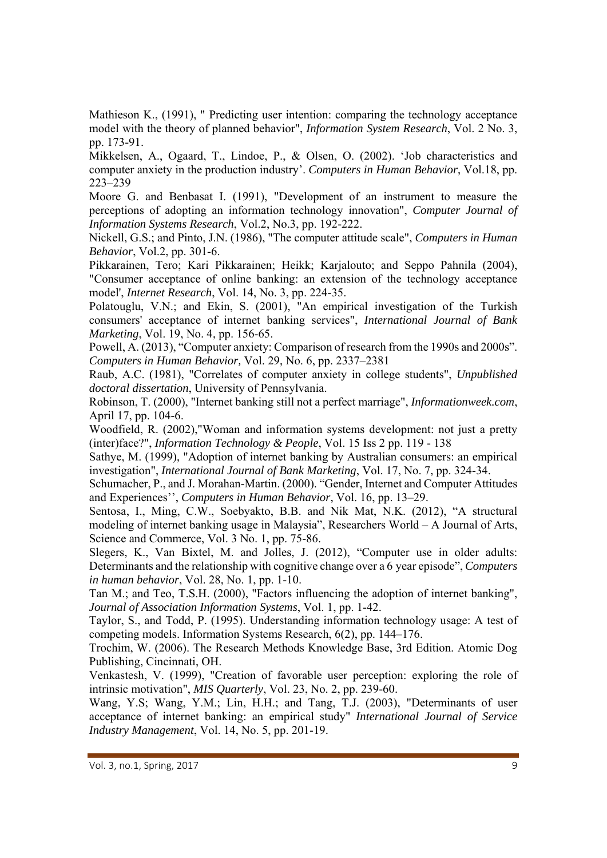Mathieson K., (1991), " Predicting user intention: comparing the technology acceptance model with the theory of planned behavior", *Information System Research*, Vol. 2 No. 3, pp. 173-91.

Mikkelsen, A., Ogaard, T., Lindoe, P., & Olsen, O. (2002). 'Job characteristics and computer anxiety in the production industry'. *Computers in Human Behavior*, Vol.18, pp. 223–239

Moore G. and Benbasat I. (1991), "Development of an instrument to measure the perceptions of adopting an information technology innovation", *Computer Journal of Information Systems Research*, Vol.2, No.3, pp. 192-222.

Nickell, G.S.; and Pinto, J.N. (1986), "The computer attitude scale", *Computers in Human Behavior*, Vol.2, pp. 301-6.

Pikkarainen, Tero; Kari Pikkarainen; Heikk; Karjalouto; and Seppo Pahnila (2004), "Consumer acceptance of online banking: an extension of the technology acceptance model', *Internet Research*, Vol. 14, No. 3, pp. 224-35.

Polatouglu, V.N.; and Ekin, S. (2001), "An empirical investigation of the Turkish consumers' acceptance of internet banking services", *International Journal of Bank Marketing*, Vol. 19, No. 4, pp. 156-65.

Powell, A. (2013), "Computer anxiety: Comparison of research from the 1990s and 2000s". *Computers in Human Behavior,* Vol. 29, No. 6, pp. 2337–2381

Raub, A.C. (1981), "Correlates of computer anxiety in college students", *Unpublished doctoral dissertation*, University of Pennsylvania.

Robinson, T. (2000), "Internet banking still not a perfect marriage", *Informationweek.com*, April 17, pp. 104-6.

Woodfield, R. (2002),"Woman and information systems development: not just a pretty (inter)face?", *Information Technology & People*, Vol. 15 Iss 2 pp. 119 - 138

Sathye, M. (1999), "Adoption of internet banking by Australian consumers: an empirical investigation", *International Journal of Bank Marketing*, Vol. 17, No. 7, pp. 324-34.

Schumacher, P., and J. Morahan-Martin. (2000). "Gender, Internet and Computer Attitudes and Experiences'', *Computers in Human Behavior*, Vol. 16, pp. 13–29.

Sentosa, I., Ming, C.W., Soebyakto, B.B. and Nik Mat, N.K. (2012), "A structural modeling of internet banking usage in Malaysia", Researchers World – A Journal of Arts, Science and Commerce, Vol. 3 No. 1, pp. 75-86.

Slegers, K., Van Bixtel, M. and Jolles, J. (2012), "Computer use in older adults: Determinants and the relationship with cognitive change over a 6 year episode", *Computers in human behavior*, Vol. 28, No. 1, pp. 1-10.

Tan M.; and Teo, T.S.H. (2000), "Factors influencing the adoption of internet banking", *Journal of Association Information Systems*, Vol. 1, pp. 1-42.

Taylor, S., and Todd, P. (1995). Understanding information technology usage: A test of competing models. Information Systems Research, 6(2), pp. 144–176.

Trochim, W. (2006). The Research Methods Knowledge Base, 3rd Edition. Atomic Dog Publishing, Cincinnati, OH.

Venkastesh, V. (1999), "Creation of favorable user perception: exploring the role of intrinsic motivation", *MIS Quarterly*, Vol. 23, No. 2, pp. 239-60.

Wang, Y.S; Wang, Y.M.; Lin, H.H.; and Tang, T.J. (2003), "Determinants of user acceptance of internet banking: an empirical study" *International Journal of Service Industry Management*, Vol. 14, No. 5, pp. 201-19.